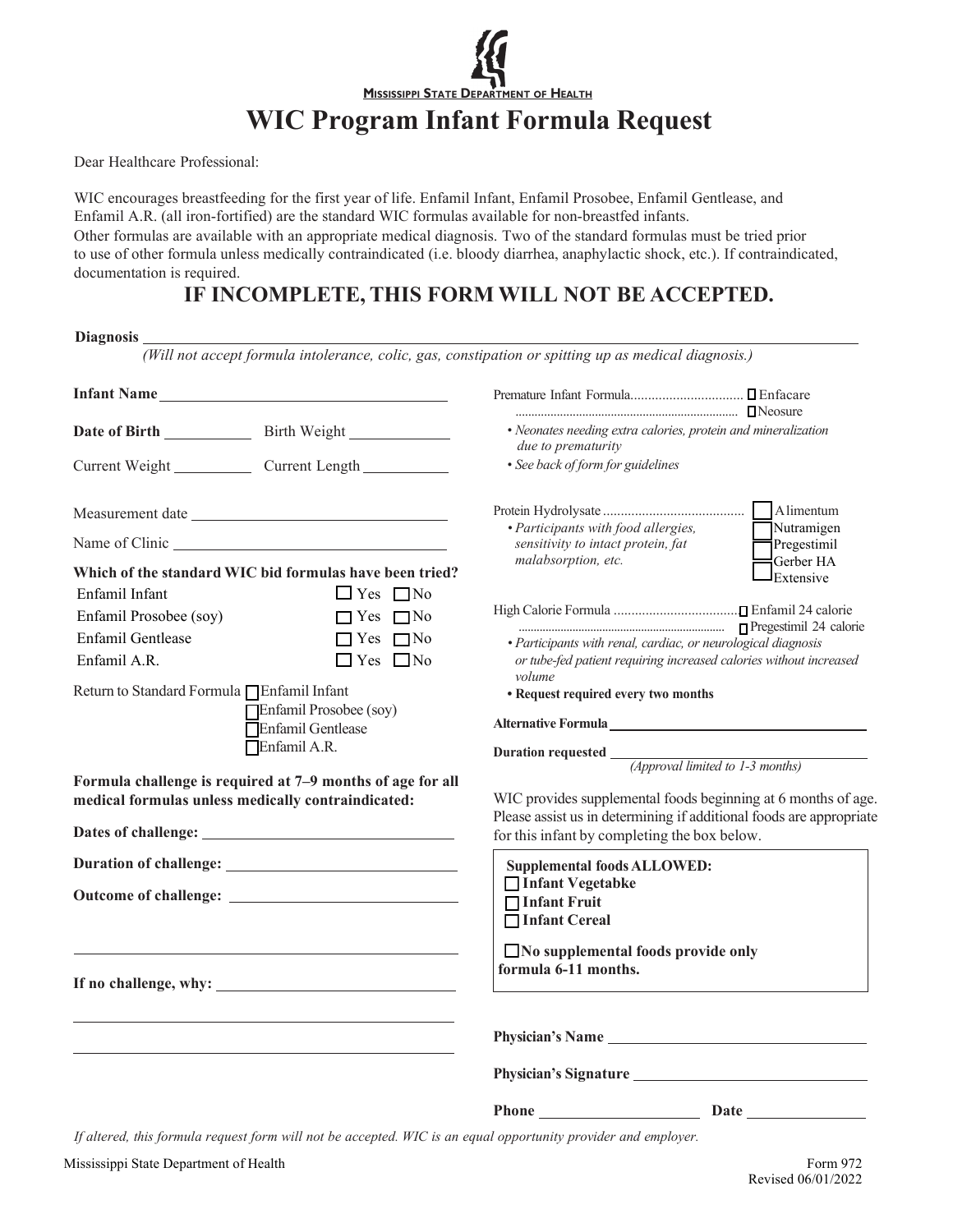

Dear Healthcare Professional:

WIC encourages breastfeeding for the first year of life. Enfamil Infant, Enfamil Prosobee, Enfamil Gentlease, and Enfamil A.R. (all iron-fortified) are the standard WIC formulas available for non-breastfed infants. Other formulas are available with an appropriate medical diagnosis. Two of the standard formulas must be tried prior to use of other formula unless medically contraindicated (i.e. bloody diarrhea, anaphylactic shock, etc.). If contraindicated, documentation is required.

## **IF INCOMPLETE, THIS FORM WILL NOT BE ACCEPTED.**

| Diagnosis                                                                                                                                                                           |                                                                                           | (Will not accept formula intolerance, colic, gas, constipation or spitting up as medical diagnosis.)                                                                                                                                                                                                                                                          |                           |
|-------------------------------------------------------------------------------------------------------------------------------------------------------------------------------------|-------------------------------------------------------------------------------------------|---------------------------------------------------------------------------------------------------------------------------------------------------------------------------------------------------------------------------------------------------------------------------------------------------------------------------------------------------------------|---------------------------|
|                                                                                                                                                                                     |                                                                                           |                                                                                                                                                                                                                                                                                                                                                               |                           |
|                                                                                                                                                                                     |                                                                                           |                                                                                                                                                                                                                                                                                                                                                               |                           |
| Date of Birth Birth Birth Weight                                                                                                                                                    |                                                                                           | • Neonates needing extra calories, protein and mineralization<br><i>due to prematurity</i>                                                                                                                                                                                                                                                                    |                           |
| Current Weight Current Length                                                                                                                                                       |                                                                                           | • See back of form for guidelines                                                                                                                                                                                                                                                                                                                             |                           |
|                                                                                                                                                                                     |                                                                                           |                                                                                                                                                                                                                                                                                                                                                               |                           |
|                                                                                                                                                                                     |                                                                                           | · Participants with food allergies,<br>sensitivity to intact protein, fat<br>malabsorption, etc.                                                                                                                                                                                                                                                              | Nutramigen<br>Pregestimil |
| Which of the standard WIC bid formulas have been tried?<br>Enfamil Infant                                                                                                           | $\Box$ Yes $\Box$ No                                                                      |                                                                                                                                                                                                                                                                                                                                                               | Gerber HA<br>Extensive    |
| Enfamil Prosobee (soy)                                                                                                                                                              | $\Box$ Yes $\Box$ No                                                                      |                                                                                                                                                                                                                                                                                                                                                               |                           |
| Enfamil Gentlease<br>Enfamil A.R.                                                                                                                                                   | $\Box$ Yes $\Box$ No<br>$\Box$ Yes $\Box$ No                                              | · Participants with renal, cardiac, or neurological diagnosis<br>or tube-fed patient requiring increased calories without increased                                                                                                                                                                                                                           |                           |
| Return to Standard Formula □ Enfamil Infant<br>Enfamil Prosobee (soy)<br>Enfamil Gentlease<br>Enfamil A.R.                                                                          |                                                                                           | volume<br>• Request required every two months<br>Alternative Formula<br><u>Laternative</u> Community and Community and Community and Community and Community and Community and Community and Community and Community and Community and Community and Community and Community and Commu<br>Duration requested $\frac{1}{(Approval\ limited\ to\ 1-3\ months)}$ |                           |
| Formula challenge is required at 7-9 months of age for all<br>medical formulas unless medically contraindicated:<br>Dates of challenge: <u>contract the contract of challenge</u> : |                                                                                           | WIC provides supplemental foods beginning at 6 months of age.<br>Please assist us in determining if additional foods are appropriate<br>for this infant by completing the box below.                                                                                                                                                                          |                           |
|                                                                                                                                                                                     |                                                                                           | <b>Supplemental foods ALLOWED:</b>                                                                                                                                                                                                                                                                                                                            |                           |
|                                                                                                                                                                                     |                                                                                           | □ Infant Vegetabke<br>□ Infant Fruit<br>□ Infant Cereal                                                                                                                                                                                                                                                                                                       |                           |
|                                                                                                                                                                                     | the control of the control of the control of the control of the control of the control of | No supplemental foods provide only<br>formula 6-11 months.                                                                                                                                                                                                                                                                                                    |                           |
|                                                                                                                                                                                     |                                                                                           | Physician's Name                                                                                                                                                                                                                                                                                                                                              |                           |
|                                                                                                                                                                                     |                                                                                           | Physician's Signature                                                                                                                                                                                                                                                                                                                                         |                           |
|                                                                                                                                                                                     |                                                                                           | Phone Date Date                                                                                                                                                                                                                                                                                                                                               |                           |

If altered, this formula request form will not be accepted. WIC is an equal opportunity provider and employer.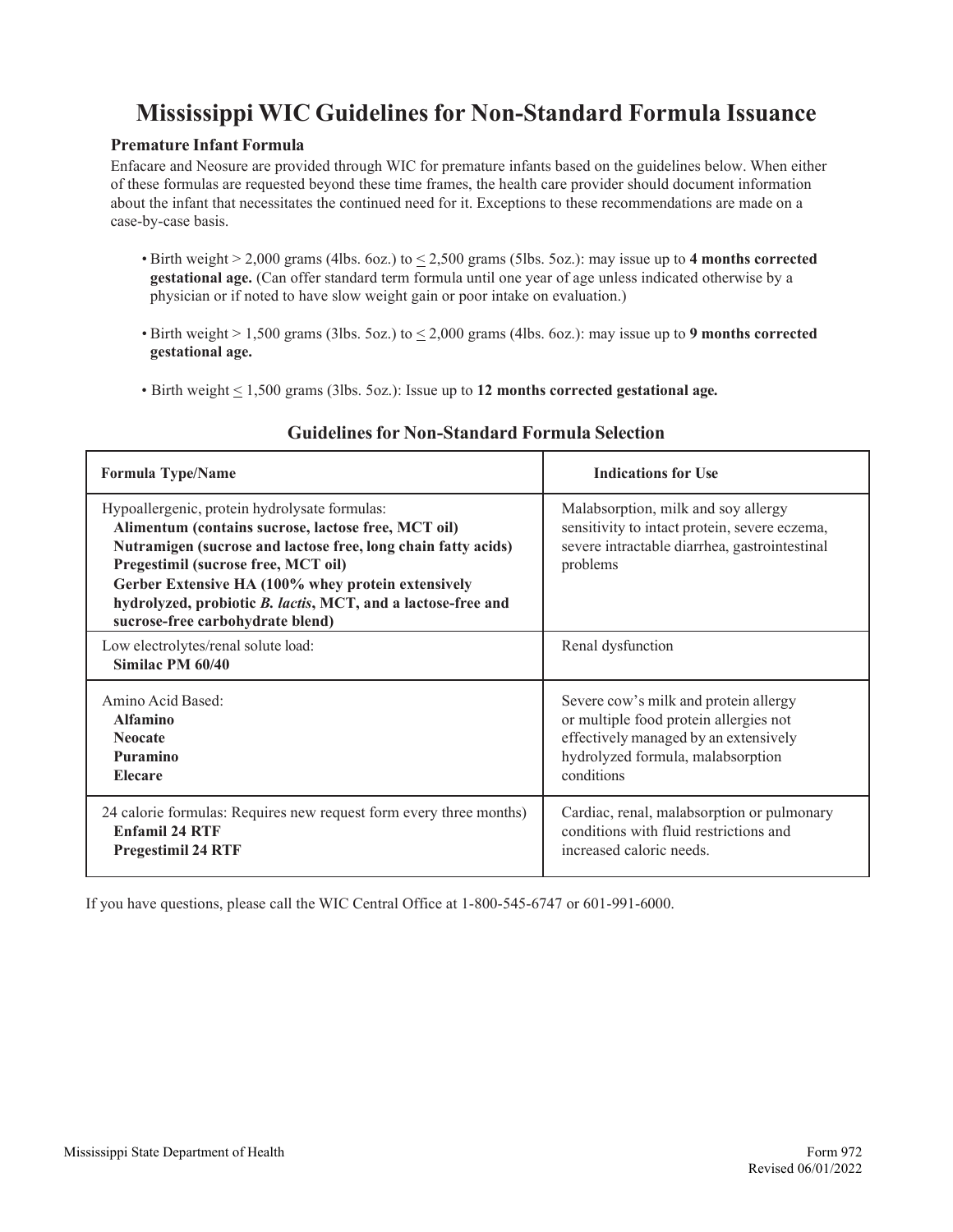# **Mississippi WIC Guidelines for Non-Standard Formula Issuance**

#### **Premature Infant Formula**

Enfacare and Neosure are provided through WIC for premature infants based on the guidelines below. When either of these formulas are requested beyond these time frames, the health care provider should document information about the infant that necessitates the continued need for it. Exceptions to these recommendations are made on a case-by-case basis.

- Birth weight > 2,000 grams (4lbs. 6oz.) to < 2,500 grams (5lbs. 5oz.): may issue up to **4 months corrected gestational age.** (Can offer standard term formula until one year of age unless indicated otherwise by a physician or if noted to have slow weight gain or poor intake on evaluation.)
- $\bullet$  Birth weight  $> 1,500$  grams (3lbs. 5oz.) to  $\leq 2,000$  grams (4lbs. 6oz.): may issue up to **9 months corrected gestational age.**
- Birth weight < 1,500 grams (3lbs. 5oz.): Issue up to **12 months corrected gestational age.**

| <b>Formula Type/Name</b>                                                                                                                                                                                                                                                                                                                                               | <b>Indications for Use</b>                                                                                                                                                  |  |
|------------------------------------------------------------------------------------------------------------------------------------------------------------------------------------------------------------------------------------------------------------------------------------------------------------------------------------------------------------------------|-----------------------------------------------------------------------------------------------------------------------------------------------------------------------------|--|
| Hypoallergenic, protein hydrolysate formulas:<br>Alimentum (contains sucrose, lactose free, MCT oil)<br>Nutramigen (sucrose and lactose free, long chain fatty acids)<br>Pregestimil (sucrose free, MCT oil)<br>Gerber Extensive HA (100% whey protein extensively<br>hydrolyzed, probiotic B. lactis, MCT, and a lactose-free and<br>sucrose-free carbohydrate blend) | Malabsorption, milk and soy allergy<br>sensitivity to intact protein, severe eczema,<br>severe intractable diarrhea, gastrointestinal<br>problems                           |  |
| Low electrolytes/renal solute load:<br>Similac PM 60/40                                                                                                                                                                                                                                                                                                                | Renal dysfunction                                                                                                                                                           |  |
| Amino Acid Based:<br><b>Alfamino</b><br><b>Neocate</b><br>Puramino<br><b>Elecare</b>                                                                                                                                                                                                                                                                                   | Severe cow's milk and protein allergy<br>or multiple food protein allergies not<br>effectively managed by an extensively<br>hydrolyzed formula, malabsorption<br>conditions |  |
| 24 calorie formulas: Requires new request form every three months)<br><b>Enfamil 24 RTF</b><br><b>Pregestimil 24 RTF</b>                                                                                                                                                                                                                                               | Cardiac, renal, malabsorption or pulmonary<br>conditions with fluid restrictions and<br>increased caloric needs.                                                            |  |

#### **Guidelines for Non-Standard Formula Selection**

If you have questions, please call the WIC Central Office at 1-800-545-6747 or 601-991-6000.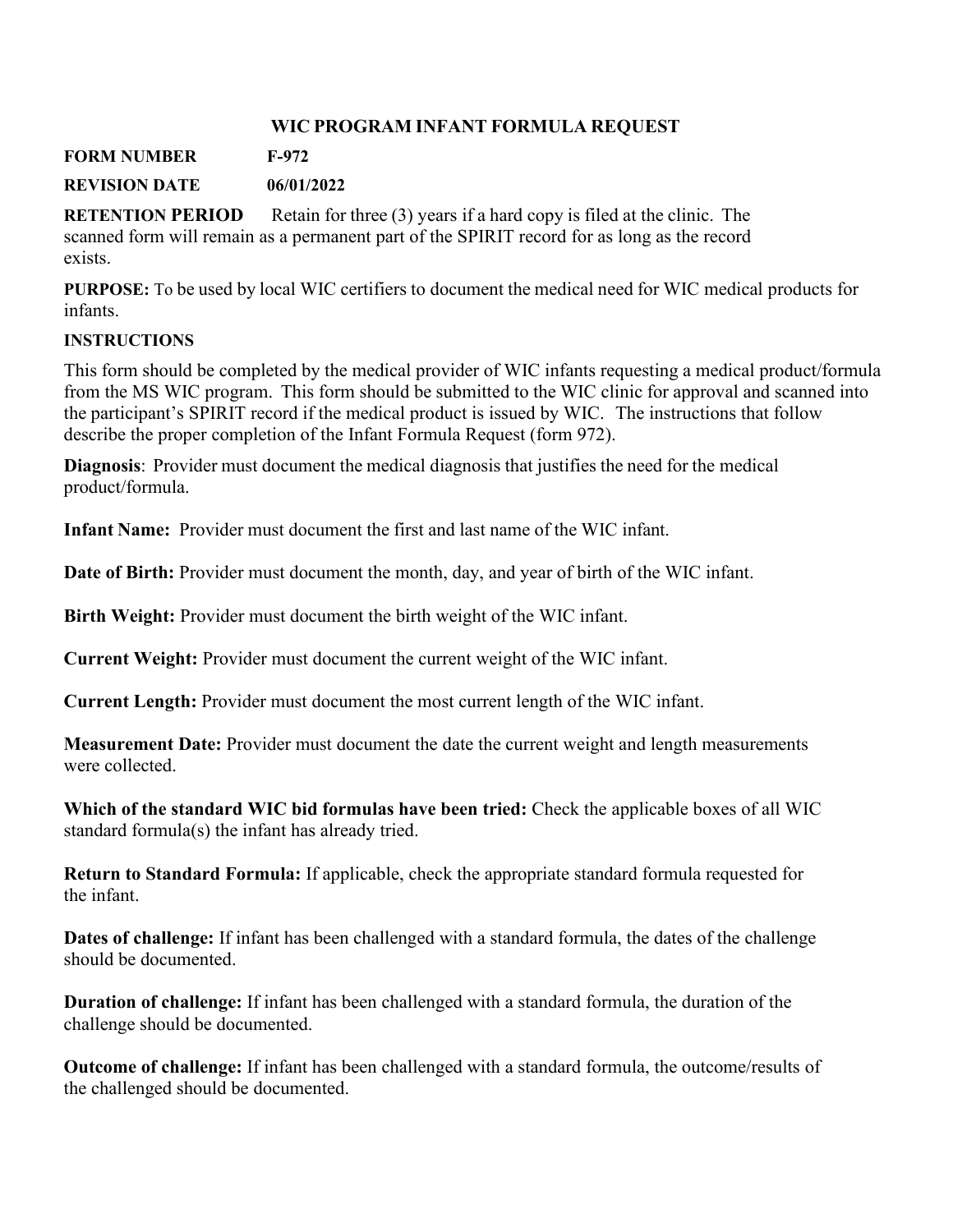#### **WIC PROGRAM INFANT FORMULA REQUEST**

**FORM NUMBER F-972**

**REVISION DATE 06/01/2022**

**RETENTION PERIOD** Retain for three (3) years if a hard copy is filed at the clinic. The scanned form will remain as a permanent part of the SPIRIT record for as long as the record exists.

**PURPOSE:** To be used by local WIC certifiers to document the medical need for WIC medical products for infants.

#### **INSTRUCTIONS**

This form should be completed by the medical provider of WIC infants requesting a medical product/formula from the MS WIC program. This form should be submitted to the WIC clinic for approval and scanned into the participant's SPIRIT record if the medical product is issued by WIC. The instructions that follow describe the proper completion of the Infant Formula Request (form 972).

**Diagnosis**: Provider must document the medical diagnosis that justifies the need for the medical product/formula.

**Infant Name:** Provider must document the first and last name of the WIC infant.

**Date of Birth:** Provider must document the month, day, and year of birth of the WIC infant.

**Birth Weight:** Provider must document the birth weight of the WIC infant.

**Current Weight:** Provider must document the current weight of the WIC infant.

**Current Length:** Provider must document the most current length of the WIC infant.

**Measurement Date:** Provider must document the date the current weight and length measurements were collected.

**Which of the standard WIC bid formulas have been tried:** Check the applicable boxes of all WIC standard formula(s) the infant has already tried.

**Return to Standard Formula:** If applicable, check the appropriate standard formula requested for the infant.

**Dates of challenge:** If infant has been challenged with a standard formula, the dates of the challenge should be documented.

**Duration of challenge:** If infant has been challenged with a standard formula, the duration of the challenge should be documented.

**Outcome of challenge:** If infant has been challenged with a standard formula, the outcome/results of the challenged should be documented.